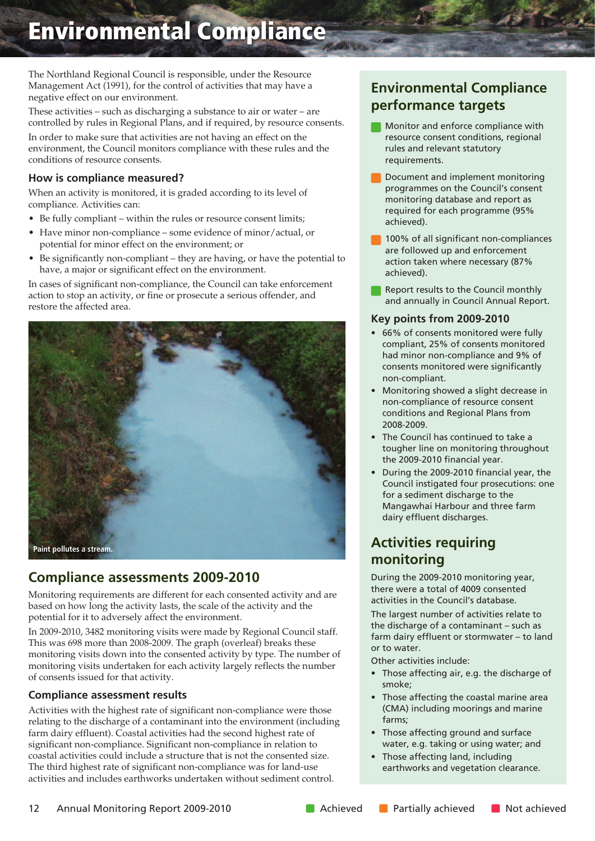The Northland Regional Council is responsible, under the Resource Management Act (1991), for the control of activities that may have a negative effect on our environment.

These activities – such as discharging a substance to air or water – are controlled by rules in Regional Plans, and if required, by resource consents.

In order to make sure that activities are not having an effect on the environment, the Council monitors compliance with these rules and the conditions of resource consents.

### **How is compliance measured?**

When an activity is monitored, it is graded according to its level of compliance. Activities can:

- Be fully compliant within the rules or resource consent limits;
- Have minor non-compliance some evidence of minor/actual, or potential for minor effect on the environment; or
- Be significantly non-compliant they are having, or have the potential to have, a major or significant effect on the environment.

In cases of significant non-compliance, the Council can take enforcement action to stop an activity, or fine or prosecute a serious offender, and restore the affected area.



### **Compliance assessments 2009-2010**

Monitoring requirements are different for each consented activity and are based on how long the activity lasts, the scale of the activity and the potential for it to adversely affect the environment.

In 2009-2010, 3482 monitoring visits were made by Regional Council staff. This was 698 more than 2008-2009. The graph (overleaf) breaks these monitoring visits down into the consented activity by type. The number of monitoring visits undertaken for each activity largely reflects the number of consents issued for that activity.

### **Compliance assessment results**

Activities with the highest rate of significant non-compliance were those relating to the discharge of a contaminant into the environment (including farm dairy effluent). Coastal activities had the second highest rate of significant non-compliance. Significant non-compliance in relation to coastal activities could include a structure that is not the consented size. The third highest rate of significant non-compliance was for land-use activities and includes earthworks undertaken without sediment control.

# **Environmental Compliance performance targets**

- **Monitor and enforce compliance with** resource consent conditions, regional rules and relevant statutory requirements.
- Document and implement monitoring programmes on the Council's consent monitoring database and report as required for each programme (95% achieved).
- **100% of all significant non-compliances** are followed up and enforcement action taken where necessary (87% achieved).
- Report results to the Council monthly and annually in Council Annual Report.

#### **Key points from 2009-2010**

- 66% of consents monitored were fully compliant, 25% of consents monitored had minor non-compliance and 9% of consents monitored were significantly non-compliant.
- Monitoring showed a slight decrease in non-compliance of resource consent conditions and Regional Plans from 2008-2009.
- The Council has continued to take a tougher line on monitoring throughout the 2009-2010 financial year.
- During the 2009-2010 financial year, the Council instigated four prosecutions: one for a sediment discharge to the Mangawhai Harbour and three farm dairy effluent discharges.

# **Activities requiring monitoring**

During the 2009-2010 monitoring year, there were a total of 4009 consented activities in the Council's database.

The largest number of activities relate to the discharge of a contaminant – such as farm dairy effluent or stormwater – to land or to water.

Other activities include:

- Those affecting air, e.g. the discharge of smoke;
- Those affecting the coastal marine area (CMA) including moorings and marine farms;
- Those affecting ground and surface water, e.g. taking or using water; and
- Those affecting land, including earthworks and vegetation clearance.